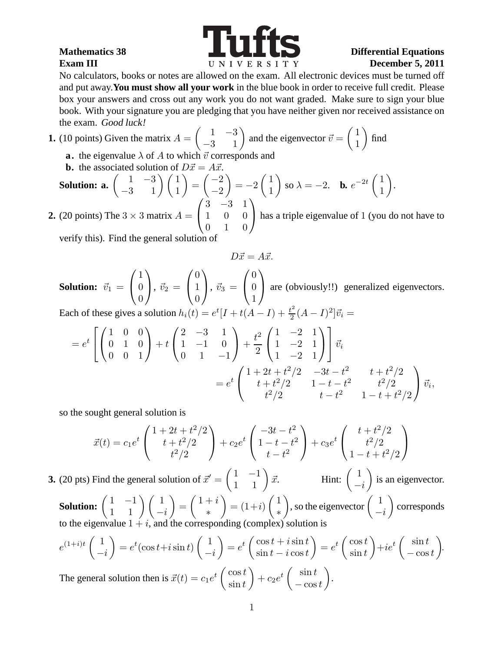

No calculators, books or notes are allowed on the exam. All electronic devices must be turned off and put away.**You must show all your work** in the blue book in order to receive full credit. Please box your answers and cross out any work you do not want graded. Make sure to sign your blue book. With your signature you are pledging that you have neither given nor received assistance on the exam. Good luck!

**1.** (10 points) Given the matrix 
$$
A = \begin{pmatrix} 1 & -3 \ -3 & 1 \end{pmatrix}
$$
 and the eigenvector  $\vec{v} = \begin{pmatrix} 1 \ 1 \end{pmatrix}$  find  
**a.** the eigenvalue  $\lambda$  of A to which  $\vec{v}$  corresponds and

**b.** the associated solution of  $D\vec{x} = A\vec{x}$ .

**Solution: a.** 
$$
\begin{pmatrix} 1 & -3 \ -3 & 1 \end{pmatrix} \begin{pmatrix} 1 \ 1 \end{pmatrix} = \begin{pmatrix} -2 \ -2 \end{pmatrix} = -2 \begin{pmatrix} 1 \ 1 \end{pmatrix}
$$
 so  $\lambda = -2$ . **b.**  $e^{-2t} \begin{pmatrix} 1 \ 1 \end{pmatrix}$ .

**2.** (20 points) The  $3 \times 3$  matrix  $A = \begin{bmatrix} 1 \\ 1 \end{bmatrix}$ 1 0 0 0 1 0 has a triple eigenvalue of <sup>1</sup> (you do not have to

verify this). Find the general solution of

$$
D\vec{x} = A\vec{x}.
$$

**Solution:**  $\vec{v}_1$  =  $\sqrt{ }$  $\mathcal{L}$ 1 0 0  $\setminus$  $\Big\},~\vec{v}_2 =$  $\sqrt{ }$  $\overline{1}$  $\overline{0}$ 1 0  $\setminus$  $\Big\}, \ \vec{v}_3 \ =$  $\sqrt{ }$  $\mathcal{L}$  $\overline{0}$  $\theta$ 1  $\setminus$ are (obviously!!) generalized eigenvectors.

Each of these gives a solution  $h_i(t) = e^t[I + t(A - I) + \frac{t^2}{2}]$  $\frac{t^2}{2}(A-I)^2\vec{v}_i =$ 

$$
= e^{t} \left[ \begin{pmatrix} 1 & 0 & 0 \\ 0 & 1 & 0 \\ 0 & 0 & 1 \end{pmatrix} + t \begin{pmatrix} 2 & -3 & 1 \\ 1 & -1 & 0 \\ 0 & 1 & -1 \end{pmatrix} + \frac{t^{2}}{2} \begin{pmatrix} 1 & -2 & 1 \\ 1 & -2 & 1 \\ 1 & -2 & 1 \end{pmatrix} \right] \vec{v}_{i}
$$
  
= 
$$
e^{t} \begin{pmatrix} 1 + 2t + t^{2}/2 & -3t - t^{2} & t + t^{2}/2 \\ t + t^{2}/2 & 1 - t - t^{2} & t^{2}/2 \\ t^{2}/2 & t - t^{2} & 1 - t + t^{2}/2 \end{pmatrix} \vec{v}_{i},
$$

so the sought general solution is

$$
\vec{x}(t) = c_1 e^t \begin{pmatrix} 1 + 2t + t^2/2 \\ t + t^2/2 \\ t^2/2 \end{pmatrix} + c_2 e^t \begin{pmatrix} -3t - t^2 \\ 1 - t - t^2 \\ t - t^2 \end{pmatrix} + c_3 e^t \begin{pmatrix} t + t^2/2 \\ t^2/2 \\ 1 - t + t^2/2 \end{pmatrix}
$$

**3.** (20 pts) Find the general solution of  $\vec{x}' = \begin{pmatrix} 1 & -1 \\ 1 & 1 \end{pmatrix} \vec{x}$ . Hint:  $\begin{pmatrix} 1 & 1 \\ -1 & 1 \end{pmatrix}$  $-i$ ) is an eigenvector.

**Solution:**  $\begin{pmatrix} 1 & -1 \\ 1 & 1 \end{pmatrix} \begin{pmatrix} 1 \\ -i \end{pmatrix}$  $\setminus$ =  $\left(1+i\right)$ ∗  $\setminus$  $= (1+i)$  $\sqrt{1}$ ∗ ), so the eigenvector  $\begin{pmatrix} 1 \end{pmatrix}$  $-i$  corresponds to the eigenvalue  $1 + i$ , and the corresponding (complex) solution is

$$
e^{(1+i)t} \begin{pmatrix} 1 \\ -i \end{pmatrix} = e^t (\cos t + i \sin t) \begin{pmatrix} 1 \\ -i \end{pmatrix} = e^t \begin{pmatrix} \cos t + i \sin t \\ \sin t - i \cos t \end{pmatrix} = e^t \begin{pmatrix} \cos t \\ \sin t \end{pmatrix} + ie^t \begin{pmatrix} \sin t \\ -\cos t \end{pmatrix}.
$$
  
The general solution then is  $\vec{x}(t) = c_1 e^t \begin{pmatrix} \cos t \\ \sin t \end{pmatrix} + c_2 e^t \begin{pmatrix} \sin t \\ -\cos t \end{pmatrix}.$